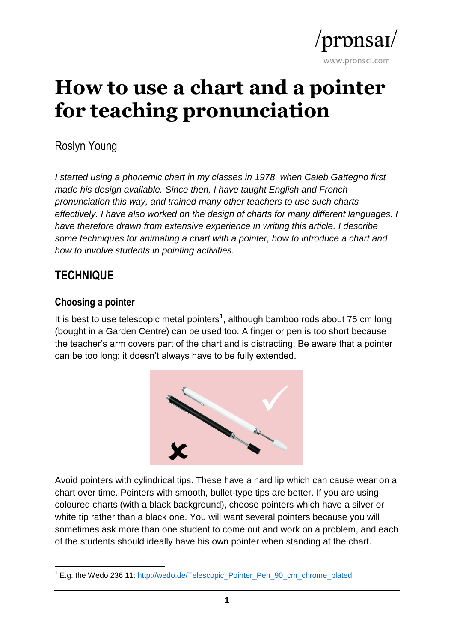

# **How to use a chart and a pointer for teaching pronunciation**

Roslyn Young

*I started using a phonemic chart in my classes in 1978, when Caleb Gattegno first made his design available. Since then, I have taught English and French pronunciation this way, and trained many other teachers to use such charts effectively. I have also worked on the design of charts for many different languages. I have therefore drawn from extensive experience in writing this article. I describe some techniques for animating a chart with a pointer, how to introduce a chart and how to involve students in pointing activities.*

# **TECHNIQUE**

#### **Choosing a pointer**

It is best to use telescopic metal pointers<sup>1</sup>, although bamboo rods about 75 cm long (bought in a Garden Centre) can be used too. A finger or pen is too short because the teacher's arm covers part of the chart and is distracting. Be aware that a pointer can be too long: it doesn't always have to be fully extended.



Avoid pointers with cylindrical tips. These have a hard lip which can cause wear on a chart over time. Pointers with smooth, bullet-type tips are better. If you are using coloured charts (with a black background), choose pointers which have a silver or white tip rather than a black one. You will want several pointers because you will sometimes ask more than one student to come out and work on a problem, and each of the students should ideally have his own pointer when standing at the chart.

 $\overline{a}$ <sup>1</sup> E.g. the Wedo 236 11: [http://wedo.de/Telescopic\\_Pointer\\_Pen\\_90\\_cm\\_chrome\\_plated](http://wedo.de/Telescopic_Pointer_Pen_90_cm_chrome_plated)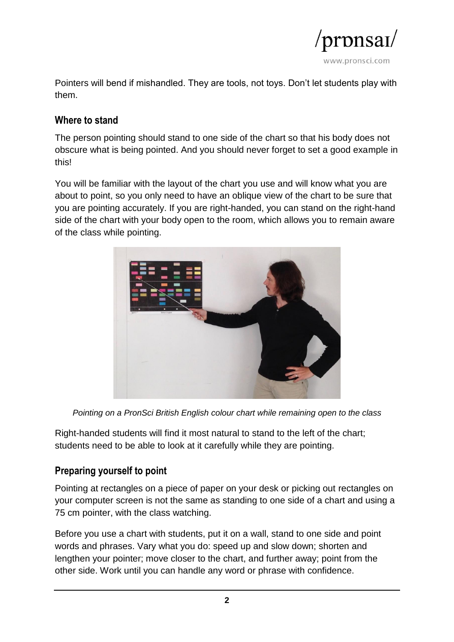

Pointers will bend if mishandled. They are tools, not toys. Don't let students play with them.

#### **Where to stand**

The person pointing should stand to one side of the chart so that his body does not obscure what is being pointed. And you should never forget to set a good example in this!

You will be familiar with the layout of the chart you use and will know what you are about to point, so you only need to have an oblique view of the chart to be sure that you are pointing accurately. If you are right-handed, you can stand on the right-hand side of the chart with your body open to the room, which allows you to remain aware of the class while pointing.



*Pointing on a PronSci British English colour chart while remaining open to the class*

Right-handed students will find it most natural to stand to the left of the chart; students need to be able to look at it carefully while they are pointing.

## **Preparing yourself to point**

Pointing at rectangles on a piece of paper on your desk or picking out rectangles on your computer screen is not the same as standing to one side of a chart and using a 75 cm pointer, with the class watching.

Before you use a chart with students, put it on a wall, stand to one side and point words and phrases. Vary what you do: speed up and slow down; shorten and lengthen your pointer; move closer to the chart, and further away; point from the other side. Work until you can handle any word or phrase with confidence.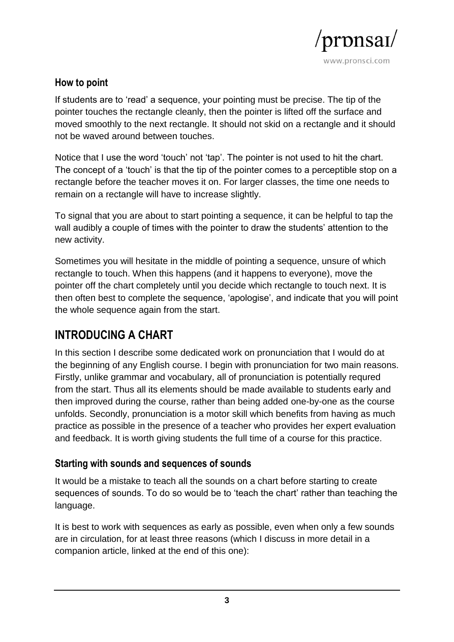

#### **How to point**

If students are to 'read' a sequence, your pointing must be precise. The tip of the pointer touches the rectangle cleanly, then the pointer is lifted off the surface and moved smoothly to the next rectangle. It should not skid on a rectangle and it should not be waved around between touches.

Notice that I use the word 'touch' not 'tap'. The pointer is not used to hit the chart. The concept of a 'touch' is that the tip of the pointer comes to a perceptible stop on a rectangle before the teacher moves it on. For larger classes, the time one needs to remain on a rectangle will have to increase slightly.

To signal that you are about to start pointing a sequence, it can be helpful to tap the wall audibly a couple of times with the pointer to draw the students' attention to the new activity.

Sometimes you will hesitate in the middle of pointing a sequence, unsure of which rectangle to touch. When this happens (and it happens to everyone), move the pointer off the chart completely until you decide which rectangle to touch next. It is then often best to complete the sequence, 'apologise', and indicate that you will point the whole sequence again from the start.

# **INTRODUCING A CHART**

In this section I describe some dedicated work on pronunciation that I would do at the beginning of any English course. I begin with pronunciation for two main reasons. Firstly, unlike grammar and vocabulary, all of pronunciation is potentially requred from the start. Thus all its elements should be made available to students early and then improved during the course, rather than being added one-by-one as the course unfolds. Secondly, pronunciation is a motor skill which benefits from having as much practice as possible in the presence of a teacher who provides her expert evaluation and feedback. It is worth giving students the full time of a course for this practice.

#### **Starting with sounds and sequences of sounds**

It would be a mistake to teach all the sounds on a chart before starting to create sequences of sounds. To do so would be to 'teach the chart' rather than teaching the language.

It is best to work with sequences as early as possible, even when only a few sounds are in circulation, for at least three reasons (which I discuss in more detail in a companion article, linked at the end of this one):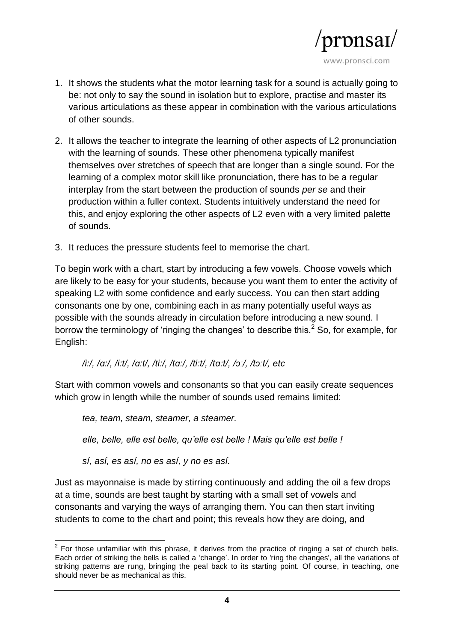

- 1. It shows the students what the motor learning task for a sound is actually going to be: not only to say the sound in isolation but to explore, practise and master its various articulations as these appear in combination with the various articulations of other sounds.
- 2. It allows the teacher to integrate the learning of other aspects of L2 pronunciation with the learning of sounds. These other phenomena typically manifest themselves over stretches of speech that are longer than a single sound. For the learning of a complex motor skill like pronunciation, there has to be a regular interplay from the start between the production of sounds *per se* and their production within a fuller context. Students intuitively understand the need for this, and enjoy exploring the other aspects of L2 even with a very limited palette of sounds.
- 3. It reduces the pressure students feel to memorise the chart.

To begin work with a chart, start by introducing a few vowels. Choose vowels which are likely to be easy for your students, because you want them to enter the activity of speaking L2 with some confidence and early success. You can then start adding consonants one by one, combining each in as many potentially useful ways as possible with the sounds already in circulation before introducing a new sound. I borrow the terminology of 'ringing the changes' to describe this.<sup>2</sup> So, for example, for English:

*/i:/, /ɑ:/, /i:t/, /ɑ:t/, /ti:/, /tɑ:/, /ti:t/, /tɑ:t/, /ɔː/, /tɔːt/, etc*

Start with common vowels and consonants so that you can easily create sequences which grow in length while the number of sounds used remains limited:

*tea, team, steam, steamer, a steamer.* 

*elle, belle, elle est belle, qu'elle est belle ! Mais qu'elle est belle !* 

*sí, así, es así, no es así, y no es así.*

Just as mayonnaise is made by stirring continuously and adding the oil a few drops at a time, sounds are best taught by starting with a small set of vowels and consonants and varying the ways of arranging them. You can then start inviting students to come to the chart and point; this reveals how they are doing, and

**ENVICE 2012**<br><sup>2</sup> For those unfamiliar with this phrase, it derives from the practice of ringing a set of church bells. Each order of striking the bells is called a 'change'. In order to 'ring the changes', all the variations of striking patterns are rung, bringing the peal back to its starting point. Of course, in teaching, one should never be as mechanical as this.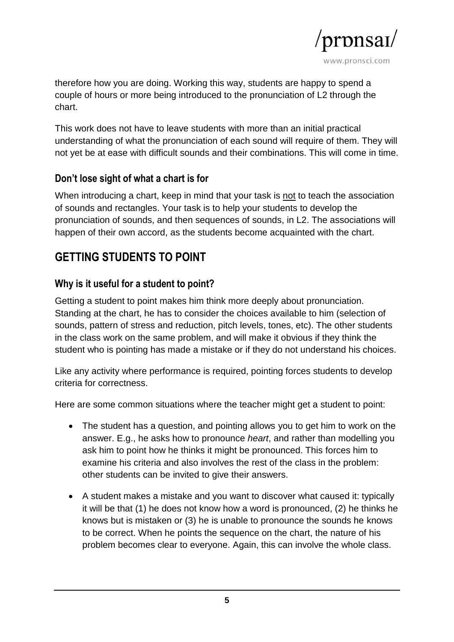

therefore how you are doing. Working this way, students are happy to spend a couple of hours or more being introduced to the pronunciation of L2 through the chart.

This work does not have to leave students with more than an initial practical understanding of what the pronunciation of each sound will require of them. They will not yet be at ease with difficult sounds and their combinations. This will come in time.

## **Don't lose sight of what a chart is for**

When introducing a chart, keep in mind that your task is not to teach the association of sounds and rectangles. Your task is to help your students to develop the pronunciation of sounds, and then sequences of sounds, in L2. The associations will happen of their own accord, as the students become acquainted with the chart.

# **GETTING STUDENTS TO POINT**

## **Why is it useful for a student to point?**

Getting a student to point makes him think more deeply about pronunciation. Standing at the chart, he has to consider the choices available to him (selection of sounds, pattern of stress and reduction, pitch levels, tones, etc). The other students in the class work on the same problem, and will make it obvious if they think the student who is pointing has made a mistake or if they do not understand his choices.

Like any activity where performance is required, pointing forces students to develop criteria for correctness.

Here are some common situations where the teacher might get a student to point:

- The student has a question, and pointing allows you to get him to work on the answer. E.g., he asks how to pronounce *heart*, and rather than modelling you ask him to point how he thinks it might be pronounced. This forces him to examine his criteria and also involves the rest of the class in the problem: other students can be invited to give their answers.
- A student makes a mistake and you want to discover what caused it: typically it will be that (1) he does not know how a word is pronounced, (2) he thinks he knows but is mistaken or (3) he is unable to pronounce the sounds he knows to be correct. When he points the sequence on the chart, the nature of his problem becomes clear to everyone. Again, this can involve the whole class.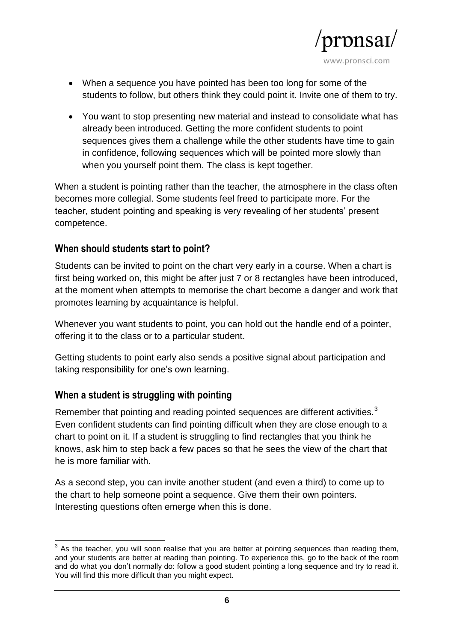

- When a sequence you have pointed has been too long for some of the students to follow, but others think they could point it. Invite one of them to try.
- You want to stop presenting new material and instead to consolidate what has already been introduced. Getting the more confident students to point sequences gives them a challenge while the other students have time to gain in confidence, following sequences which will be pointed more slowly than when you yourself point them. The class is kept together.

When a student is pointing rather than the teacher, the atmosphere in the class often becomes more collegial. Some students feel freed to participate more. For the teacher, student pointing and speaking is very revealing of her students' present competence.

#### **When should students start to point?**

Students can be invited to point on the chart very early in a course. When a chart is first being worked on, this might be after just 7 or 8 rectangles have been introduced, at the moment when attempts to memorise the chart become a danger and work that promotes learning by acquaintance is helpful.

Whenever you want students to point, you can hold out the handle end of a pointer, offering it to the class or to a particular student.

Getting students to point early also sends a positive signal about participation and taking responsibility for one's own learning.

#### **When a student is struggling with pointing**

Remember that pointing and reading pointed sequences are different activities.<sup>3</sup> Even confident students can find pointing difficult when they are close enough to a chart to point on it. If a student is struggling to find rectangles that you think he knows, ask him to step back a few paces so that he sees the view of the chart that he is more familiar with.

As a second step, you can invite another student (and even a third) to come up to the chart to help someone point a sequence. Give them their own pointers. Interesting questions often emerge when this is done.

 3 As the teacher, you will soon realise that you are better at pointing sequences than reading them, and your students are better at reading than pointing. To experience this, go to the back of the room and do what you don't normally do: follow a good student pointing a long sequence and try to read it. You will find this more difficult than you might expect.